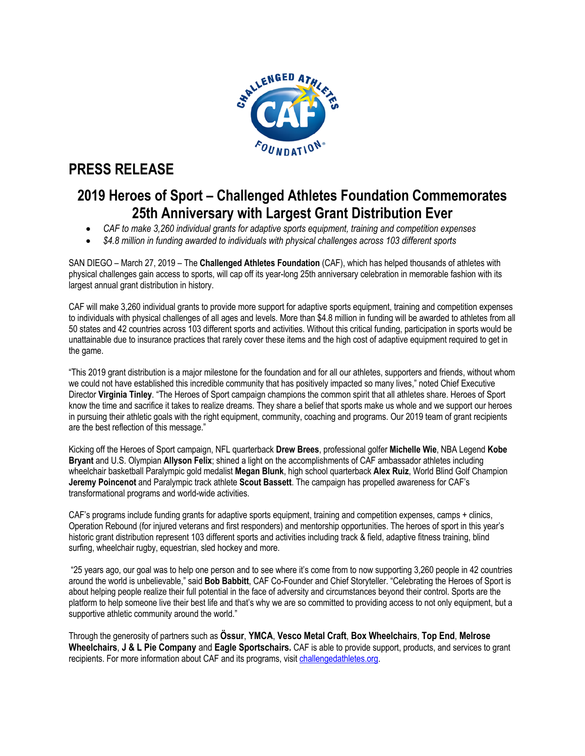

# **PRESS RELEASE**

## **2019 Heroes of Sport – Challenged Athletes Foundation Commemorates 25th Anniversary with Largest Grant Distribution Ever**

- *CAF to make 3,260 individual grants for adaptive sports equipment, training and competition expenses*
- *\$4.8 million in funding awarded to individuals with physical challenges across 103 different sports*

SAN DIEGO – March 27, 2019 – The **Challenged Athletes Foundation** (CAF), which has helped thousands of athletes with physical challenges gain access to sports, will cap off its year-long 25th anniversary celebration in memorable fashion with its largest annual grant distribution in history.

CAF will make 3,260 individual grants to provide more support for adaptive sports equipment, training and competition expenses to individuals with physical challenges of all ages and levels. More than \$4.8 million in funding will be awarded to athletes from all 50 states and 42 countries across 103 different sports and activities. Without this critical funding, participation in sports would be unattainable due to insurance practices that rarely cover these items and the high cost of adaptive equipment required to get in the game.

"This 2019 grant distribution is a major milestone for the foundation and for all our athletes, supporters and friends, without whom we could not have established this incredible community that has positively impacted so many lives," noted Chief Executive Director **Virginia Tinley**. "The Heroes of Sport campaign champions the common spirit that all athletes share. Heroes of Sport know the time and sacrifice it takes to realize dreams. They share a belief that sports make us whole and we support our heroes in pursuing their athletic goals with the right equipment, community, coaching and programs. Our 2019 team of grant recipients are the best reflection of this message."

Kicking off the Heroes of Sport campaign, NFL quarterback **Drew Brees**, professional golfer **Michelle Wie**, NBA Legend **Kobe Bryant** and U.S. Olympian **Allyson Felix**; shined a light on the accomplishments of CAF ambassador athletes including wheelchair basketball Paralympic gold medalist **Megan Blunk**, high school quarterback **Alex Ruiz**, World Blind Golf Champion **Jeremy Poincenot** and Paralympic track athlete **Scout Bassett**. The campaign has propelled awareness for CAF's transformational programs and world-wide activities.

CAF's programs include funding grants for adaptive sports equipment, training and competition expenses, camps + clinics, Operation Rebound (for injured veterans and first responders) and mentorship opportunities. The heroes of sport in this year's historic grant distribution represent 103 different sports and activities including track & field, adaptive fitness training, blind surfing, wheelchair rugby, equestrian, sled hockey and more.

"25 years ago, our goal was to help one person and to see where it's come from to now supporting 3,260 people in 42 countries around the world is unbelievable," said **Bob Babbitt**, CAF Co-Founder and Chief Storyteller. "Celebrating the Heroes of Sport is about helping people realize their full potential in the face of adversity and circumstances beyond their control. Sports are the platform to help someone live their best life and that's why we are so committed to providing access to not only equipment, but a supportive athletic community around the world."

Through the generosity of partners such as **Össur**, **YMCA**, **Vesco Metal Craft**, **Box Wheelchairs**, **Top End**, **Melrose Wheelchairs**, **J & L Pie Company** and **Eagle Sportschairs.** CAF is able to provide support, products, and services to grant recipients. For more information about CAF and its programs, visit challengedathletes.org.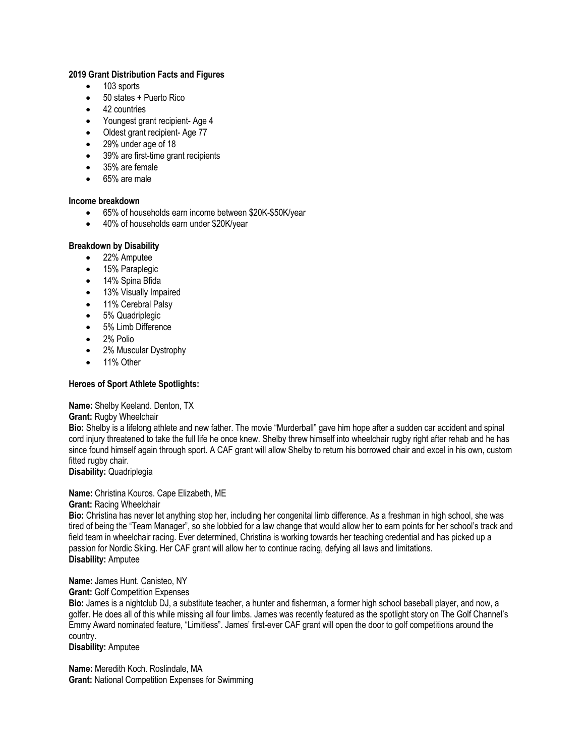## **2019 Grant Distribution Facts and Figures**

- 103 sports
- 50 states + Puerto Rico
- 42 countries
- Youngest grant recipient- Age 4
- Oldest grant recipient- Age 77
- 29% under age of 18
- 39% are first-time grant recipients
- 35% are female
- 65% are male

#### **Income breakdown**

- 65% of households earn income between \$20K-\$50K/year
- 40% of households earn under \$20K/year

#### **Breakdown by Disability**

- 22% Amputee
- 15% Paraplegic
- 14% Spina Bfida
- 13% Visually Impaired
- 11% Cerebral Palsy
- 5% Quadriplegic
- 5% Limb Difference
- 2% Polio
- 2% Muscular Dystrophy
- 11% Other

## **Heroes of Sport Athlete Spotlights:**

**Name:** Shelby Keeland. Denton, TX

**Grant:** Rugby Wheelchair

**Bio:** Shelby is a lifelong athlete and new father. The movie "Murderball" gave him hope after a sudden car accident and spinal cord injury threatened to take the full life he once knew. Shelby threw himself into wheelchair rugby right after rehab and he has since found himself again through sport. A CAF grant will allow Shelby to return his borrowed chair and excel in his own, custom fitted rugby chair.

**Disability:** Quadriplegia

**Name:** Christina Kouros. Cape Elizabeth, ME

**Grant:** Racing Wheelchair

**Bio:** Christina has never let anything stop her, including her congenital limb difference. As a freshman in high school, she was tired of being the "Team Manager", so she lobbied for a law change that would allow her to earn points for her school's track and field team in wheelchair racing. Ever determined, Christina is working towards her teaching credential and has picked up a passion for Nordic Skiing. Her CAF grant will allow her to continue racing, defying all laws and limitations. **Disability:** Amputee

**Name:** James Hunt. Canisteo, NY

#### **Grant:** Golf Competition Expenses

**Bio:** James is a nightclub DJ, a substitute teacher, a hunter and fisherman, a former high school baseball player, and now, a golfer. He does all of this while missing all four limbs. James was recently featured as the spotlight story on The Golf Channel's Emmy Award nominated feature, "Limitless". James' first-ever CAF grant will open the door to golf competitions around the country.

**Disability:** Amputee

**Name:** Meredith Koch. Roslindale, MA **Grant:** National Competition Expenses for Swimming